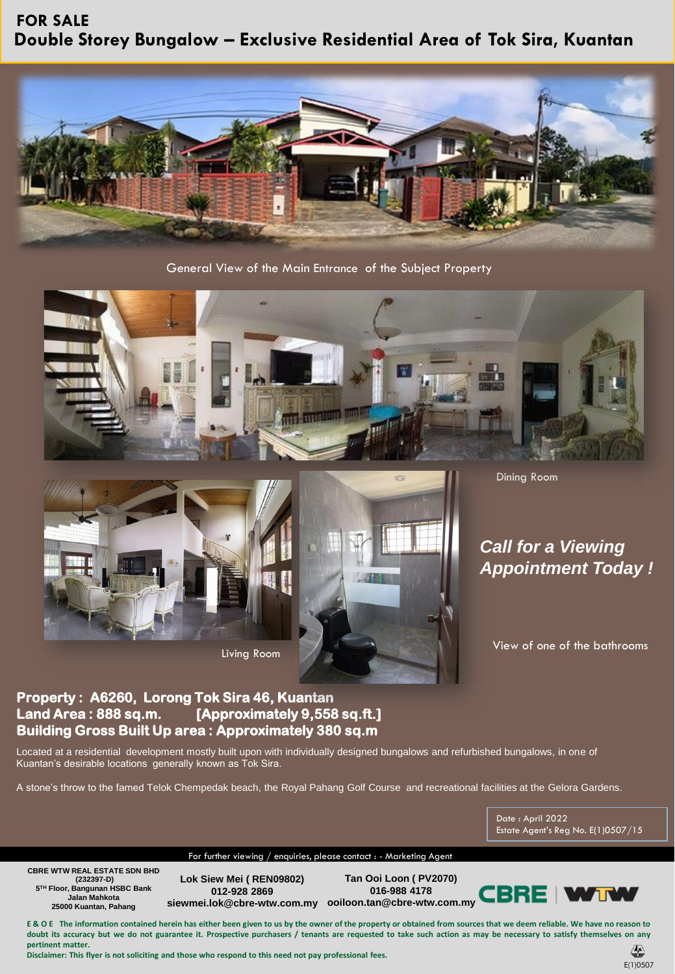## **Double Storey Bungalow – Exclusive Residential Area of Tok Sira, Kuantan FOR SALE**



General View of the Main Entrance of the Subject Property





Living Room

Dining Room

## *Call for a Viewing Appointment Today !*

View of one of the bathrooms

## **Property : A6260, Lorong Tok Sira 46, Kuantan Land Area : 888 sq.m. [Approximately 9,558 sq.ft.] Building Gross Built Up area : Approximately 380 sq.m**

Located at a residential development mostly built upon with individually designed bungalows and refurbished bungalows, in one of Kuantan's desirable locations generally known as Tok Sira.

A stone's throw to the famed Telok Chempedak beach, the Royal Pahang Golf Course and recreational facilities at the Gelora Gardens.

Date : April 2022 Estate Agent's Reg No. E(1)0507/15

For further viewing / enquiries, please contact : - Marketing Agent

**CBRE WTW REAL ESTATE SDN BHD (232397-D) 5 TH Floor, Bangunan HSBC Bank Jalan Mahkota 25000 Kuantan, Pahang**

**Lok Siew Mei ( REN09802) 012-928 2869**

**siewmei.lok@cbre-wtw.com.my ooiloon.tan@cbre-wtw.com.my Tan Ooi Loon ( PV2070) 016-988 4178**



E & O E The information contained herein has either been given to us by the owner of the property or obtained from sources that we deem reliable. We have no reason to doubt its accuracy but we do not guarantee it. Prospective purchasers / tenants are requested to take such action as may be necessary to satisfy themselves on any **pertinent matter.**

**Disclaimer: This flyer is not soliciting and those who respond to this need not pay professional fees.**